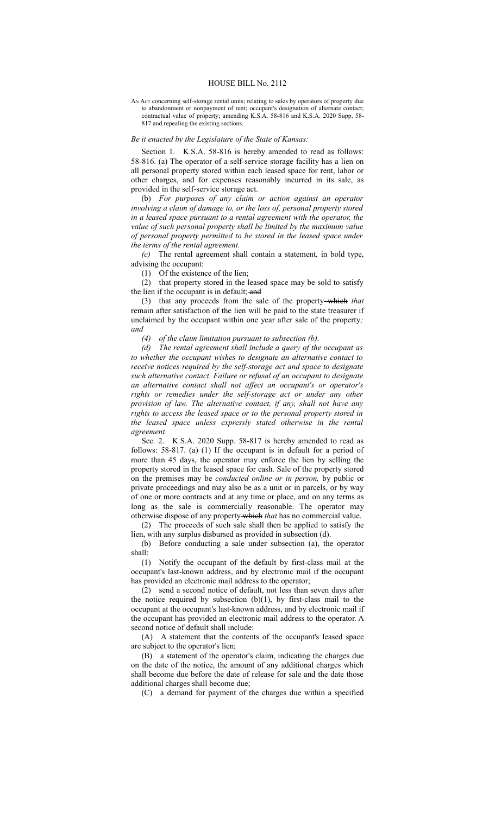## HOUSE BILL No. 2112

AN ACT concerning self-storage rental units; relating to sales by operators of property due to abandonment or nonpayment of rent; occupant's designation of alternate contact; contractual value of property; amending K.S.A. 58-816 and K.S.A. 2020 Supp. 58- 817 and repealing the existing sections.

## *Be it enacted by the Legislature of the State of Kansas:*

Section 1. K.S.A. 58-816 is hereby amended to read as follows: 58-816. (a) The operator of a self-service storage facility has a lien on all personal property stored within each leased space for rent, labor or other charges, and for expenses reasonably incurred in its sale, as provided in the self-service storage act.

(b) *For purposes of any claim or action against an operator involving a claim of damage to, or the loss of, personal property stored in a leased space pursuant to a rental agreement with the operator, the value of such personal property shall be limited by the maximum value of personal property permitted to be stored in the leased space under the terms of the rental agreement.*

*(c)* The rental agreement shall contain a statement, in bold type, advising the occupant:

(1) Of the existence of the lien;

(2) that property stored in the leased space may be sold to satisfy the lien if the occupant is in default; and

(3) that any proceeds from the sale of the property which *that* remain after satisfaction of the lien will be paid to the state treasurer if unclaimed by the occupant within one year after sale of the property*; and*

*(4) of the claim limitation pursuant to subsection (b).*

*(d) The rental agreement shall include a query of the occupant as to whether the occupant wishes to designate an alternative contact to receive notices required by the self-storage act and space to designate such alternative contact. Failure or refusal of an occupant to designate an alternative contact shall not affect an occupant's or operator's rights or remedies under the self-storage act or under any other provision of law. The alternative contact, if any, shall not have any rights to access the leased space or to the personal property stored in the leased space unless expressly stated otherwise in the rental agreement*.

Sec. 2. K.S.A. 2020 Supp. 58-817 is hereby amended to read as follows: 58-817. (a) (1) If the occupant is in default for a period of more than 45 days, the operator may enforce the lien by selling the property stored in the leased space for cash. Sale of the property stored on the premises may be *conducted online or in person,* by public or private proceedings and may also be as a unit or in parcels, or by way of one or more contracts and at any time or place, and on any terms as long as the sale is commercially reasonable. The operator may otherwise dispose of any property which *that* has no commercial value.

(2) The proceeds of such sale shall then be applied to satisfy the lien, with any surplus disbursed as provided in subsection (d).

(b) Before conducting a sale under subsection (a), the operator shall:

(1) Notify the occupant of the default by first-class mail at the occupant's last-known address, and by electronic mail if the occupant has provided an electronic mail address to the operator;

(2) send a second notice of default, not less than seven days after the notice required by subsection  $(b)(1)$ , by first-class mail to the occupant at the occupant's last-known address, and by electronic mail if the occupant has provided an electronic mail address to the operator. A second notice of default shall include:

(A) A statement that the contents of the occupant's leased space are subject to the operator's lien;

(B) a statement of the operator's claim, indicating the charges due on the date of the notice, the amount of any additional charges which shall become due before the date of release for sale and the date those additional charges shall become due;

(C) a demand for payment of the charges due within a specified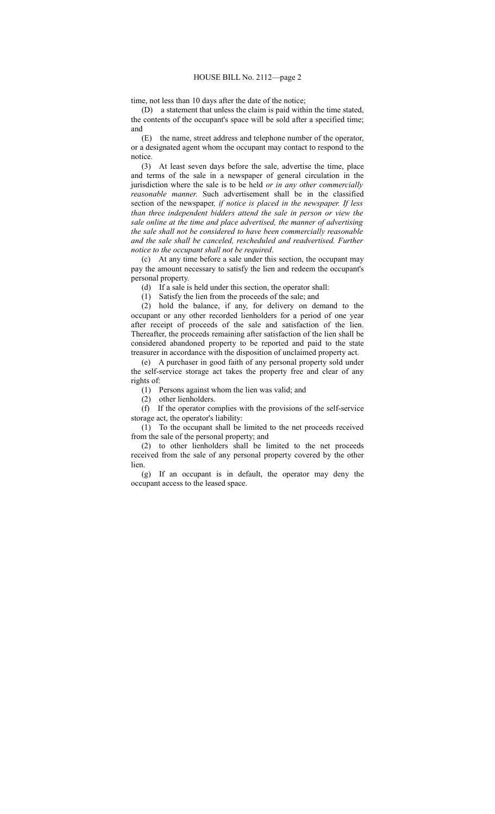time, not less than 10 days after the date of the notice;

(D) a statement that unless the claim is paid within the time stated, the contents of the occupant's space will be sold after a specified time; and

(E) the name, street address and telephone number of the operator, or a designated agent whom the occupant may contact to respond to the notice.

(3) At least seven days before the sale, advertise the time, place and terms of the sale in a newspaper of general circulation in the jurisdiction where the sale is to be held *or in any other commercially reasonable manner*. Such advertisement shall be in the classified section of the newspaper*, if notice is placed in the newspaper. If less than three independent bidders attend the sale in person or view the sale online at the time and place advertised, the manner of advertising the sale shall not be considered to have been commercially reasonable and the sale shall be canceled, rescheduled and readvertised. Further notice to the occupant shall not be required*.

(c) At any time before a sale under this section, the occupant may pay the amount necessary to satisfy the lien and redeem the occupant's personal property.

(d) If a sale is held under this section, the operator shall:

(1) Satisfy the lien from the proceeds of the sale; and

(2) hold the balance, if any, for delivery on demand to the occupant or any other recorded lienholders for a period of one year after receipt of proceeds of the sale and satisfaction of the lien. Thereafter, the proceeds remaining after satisfaction of the lien shall be considered abandoned property to be reported and paid to the state treasurer in accordance with the disposition of unclaimed property act.

(e) A purchaser in good faith of any personal property sold under the self-service storage act takes the property free and clear of any rights of:

(1) Persons against whom the lien was valid; and

(2) other lienholders.

(f) If the operator complies with the provisions of the self-service storage act, the operator's liability:

(1) To the occupant shall be limited to the net proceeds received from the sale of the personal property; and

(2) to other lienholders shall be limited to the net proceeds received from the sale of any personal property covered by the other lien.

(g) If an occupant is in default, the operator may deny the occupant access to the leased space.